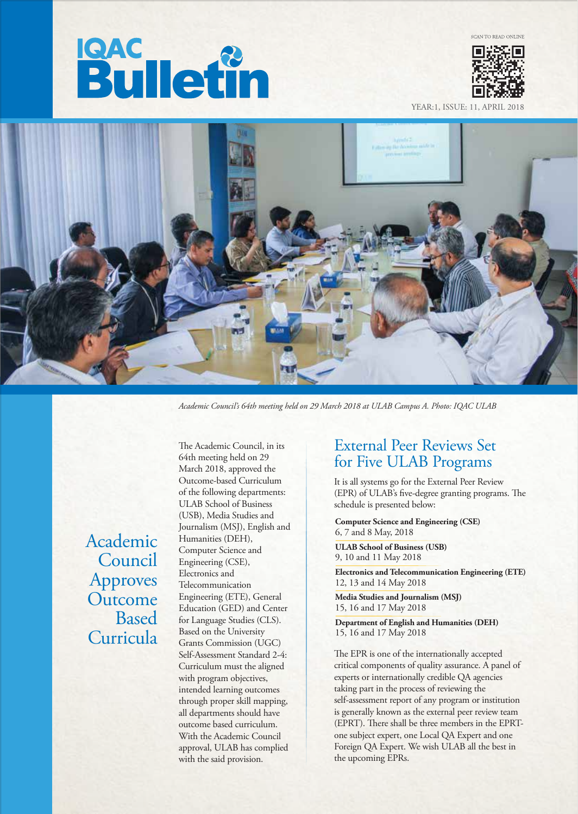# **Bulletin**



YEAR:1, ISSUE: 11, APRIL



*Academic Council's 64th meeting held on 29 March 2018 at ULAB Campus A. Photo: IQAC ULAB*

 Academic Council Approves **Outcome**  Based Curricula

The Academic Council, in its 64th meeting held on 29 March 2018, approved the Outcome-based Curriculum of the following departments: ULAB School of Business (USB), Media Studies and Journalism (MSJ), English and Humanities (DEH), Computer Science and Engineering (CSE), Electronics and Telecommunication Engineering (ETE), General Education (GED) and Center for Language Studies (CLS). Based on the University Grants Commission (UGC) Self-Assessment Standard 2-4: Curriculum must the aligned with program objectives, intended learning outcomes through proper skill mapping, all departments should have outcome based curriculum. With the Academic Council approval, ULAB has complied with the said provision.

## External Peer Reviews Set for Five ULAB Programs

It is all systems go for the External Peer Review (EPR) of ULAB's five-degree granting programs. The schedule is presented below:

**Computer Science and Engineering (CSE)** 6, 7 and 8 May, 2018

**ULAB School of Business (USB)** 9, 10 and 11 May 2018

**Electronics and Telecommunication Engineering (ETE)** 12, 13 and 14 May 2018

**Media Studies and Journalism (MSJ)** 15, 16 and 17 May 2018

**Department of English and Humanities (DEH)** 15, 16 and 17 May 2018

The EPR is one of the internationally accepted critical components of quality assurance. A panel of experts or internationally credible QA agencies taking part in the process of reviewing the self-assessment report of any program or institution is generally known as the external peer review team (EPRT). There shall be three members in the EPRTone subject expert, one Local QA Expert and one Foreign QA Expert. We wish ULAB all the best in the upcoming EPRs.